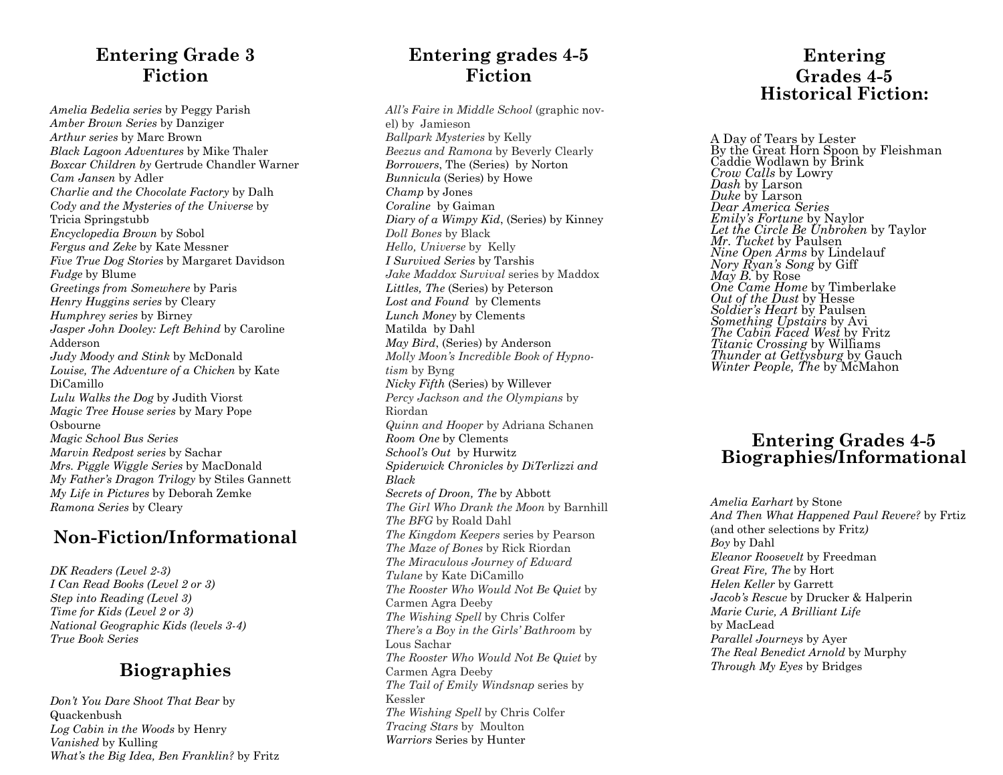## **Entering Grade 3 Fiction**

*Amelia Bedelia series* by Peggy Parish *Amber Brown Series* by Danziger *Arthur series* by Marc Brown *Black Lagoon Adventures* by Mike Thaler *Boxcar Children by* Gertrude Chandler Warner *Cam Jansen* by Adler *Charlie and the Chocolate Factory* by Dalh *Cody and the Mysteries of the Universe* by Tricia Springstubb *Encyclopedia Brown* by Sobol *Fergus and Zeke* by Kate Messner *Five True Dog Stories* by Margaret Davidson *Fudge* by Blume *Greetings from Somewhere* by Paris *Henry Huggins series* by Cleary *Humphrey series* by Birney *Jasper John Dooley: Left Behind* by Caroline Adderson *Judy Moody and Stink* by McDonald *Louise, The Adventure of a Chicken* by Kate DiCamillo *Lulu Walks the Dog* by Judith Viorst *Magic Tree House series* by Mary Pope Osbourne *Magic School Bus Series Marvin Redpost series* by Sachar *Mrs. Piggle Wiggle Series* by MacDonald *My Father's Dragon Trilogy* by Stiles Gannett *My Life in Pictures* by Deborah Zemke *Ramona Series* by Cleary

## **Non -Fiction/Informational**

*DK Readers (Level 2 -3) I Can Read Books (Level 2 or 3) Step into Reading (Level 3) Time for Kids (Level 2 or 3) National Geographic Kids (levels 3 -4) True Book Series*

## **Biographies**

*Don't You Dare Shoot That Bear* by Quackenbush *Log Cabin in the Woods* by Henry *Vanished* by Kulling *What's the Big Idea, Ben Franklin?* by Fritz

## **Entering grades 4 - 5 Fiction**

*All's Faire in Middle School* (graphic novel) by Jamieson *Ballpark Mysteries* by Kelly *Beezus and Ramona* by Beverly Clearly *Borrowers*, The (Series) by Norton *Bunnicula* (Series) by Howe *Champ* by Jones *Coraline* by Gaiman *Diary of a Wimpy Kid*, (Series) by Kinney *Doll Bones* by Black *Hello, Universe* by Kelly *I Survived Series* by Tarshis *Jake Maddox Survival* series by Maddox *Littles, The* (Series) by Peterson *Lost and Found* by Clements *Lunch Money* by Clements Matilda by Dahl *May Bird*, (Series) by Anderson *Molly Moon's Incredible Book of Hypnotism* by Byng *Nicky Fifth* (Series) by Willever *Percy Jackson and the Olympians* by Riordan *Quinn and Hooper* by Adriana Schanen *Room One* by Clements *School's Out* by Hurwitz *Spiderwick Chronicles by DiTerlizzi and Black Secrets of Droon, The* by Abbott *The Girl Who Drank the Moon* by Barnhill *The BFG* by Roald Dahl *The Kingdom Keepers* series by Pearson *The Maze of Bones* by Rick Riordan *The Miraculous Journey of Edward Tulane* by Kate DiCamillo *The Rooster Who Would Not Be Quiet* by Carmen Agra Deeby *The Wishing Spell* by Chris Colfer *There's a Boy in the Girls' Bathroom* by Lous Sachar *The Rooster Who Would Not Be Quiet* by Carmen Agra Deeby *The Tail of Emily Windsnap* series by Kessler *The Wishing Spell* by Chris Colfer *Tracing Stars* by Moulton *Warriors* Series by Hunter

### **Entering Grades 4 - 5 Historical Fiction:**

A Day of Tears by Lester By the Great Horn Spoon by Fleishman Caddie Wodlawn by Brink *Crow Calls* by Lowry *Dash* by Larson *Duke* by Larson *Dear America Series Emily's Fortune* by Naylor *Let the Circle Be Unbroken* by Taylor *Mr. Tucket* by Paulsen *Nine Open Arms* by Lindelauf *Nory Ryan's Song* by Giff *May B.* by Rose *One Came Home* by Timberlake *Out of the Dust* by Hesse *Soldier's Heart* by Paulsen *Something Upstairs* by Avi *The Cabin Faced West* by Fritz *Titanic Crossing* by Williams *Thunder at Gettysburg* by Gauch *Winter People, The* by McMahon

## **Entering Grades 4 -5 Biographies/Informational**

*Amelia Earhart* by Stone *And Then What Happened Paul Revere?* by Frtiz (and other selections by Fritz*) Boy* by Dahl *Eleanor Roosevelt* by Freedman *Great Fire, The* by Hort *Helen Keller* by Garrett *Jacob's Rescue* by Drucker & Halperin *Marie Curie, A Brilliant Life*  by MacLead *Parallel Journeys* by Ayer *The Real Benedict Arnold* by Murphy *Through My Eyes* by Bridges